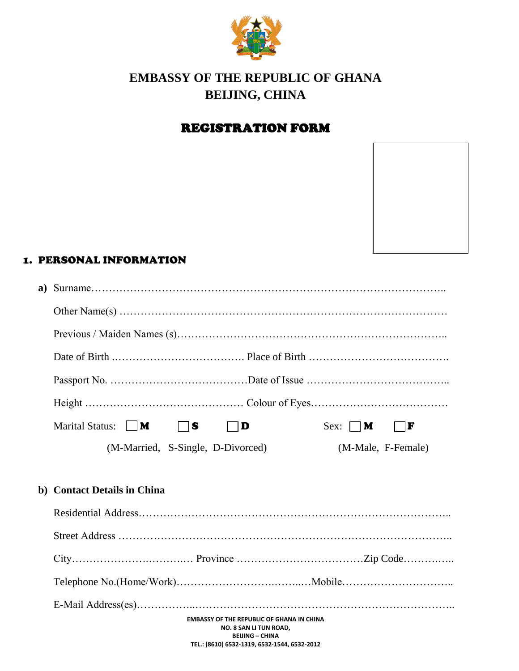

# **EMBASSY OF THE REPUBLIC OF GHANA BEIJING, CHINA**

## REGISTRATION FORM

#### 1. PERSONAL INFORMATION

| Marital Status:     <b>M</b><br>$\vert$ is<br>Sex: $   \mathbf{M}$<br>F<br>D |
|------------------------------------------------------------------------------|
| (M-Married, S-Single, D-Divorced)<br>(M-Male, F-Female)                      |
|                                                                              |
| b) Contact Details in China                                                  |
|                                                                              |
|                                                                              |

City………………….……….… Province ………………………………Zip Code……….….. Telephone No.(Home/Work)……………………….……..…Mobile…………………………..

**EMBASSY OF THE REPUBLIC OF GHANA IN CHINA NO. 8 SAN LI TUN ROAD,** E-Mail Address(es)……………..………………………………………………………………..

> **BEIJING – CHINA TEL.: (8610) 6532-1319, 6532-1544, 6532-2012**